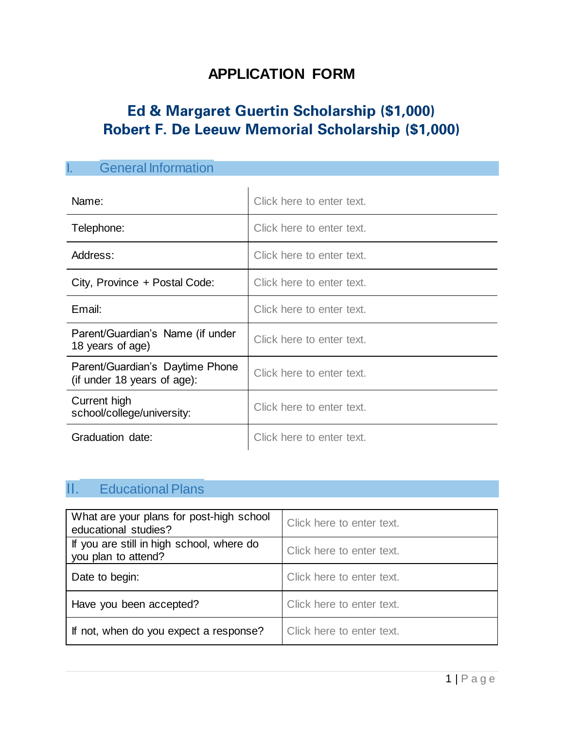## **APPLICATION FORM**

# **Ed & Margaret Guertin Scholarship (\$1,000) Robert F. De Leeuw Memorial Scholarship (\$1,000)**

| <b>General Information</b>                                     |                           |  |
|----------------------------------------------------------------|---------------------------|--|
| Name:                                                          | Click here to enter text. |  |
| Telephone:                                                     | Click here to enter text. |  |
| Address:                                                       | Click here to enter text. |  |
| City, Province + Postal Code:                                  | Click here to enter text. |  |
| Email:                                                         | Click here to enter text. |  |
| Parent/Guardian's Name (if under<br>18 years of age)           | Click here to enter text. |  |
| Parent/Guardian's Daytime Phone<br>(if under 18 years of age): | Click here to enter text. |  |
| Current high<br>school/college/university:                     | Click here to enter text. |  |
| Graduation date:                                               | Click here to enter text. |  |

## II. Educational Plans

| What are your plans for post-high school<br>educational studies? | Click here to enter text. |
|------------------------------------------------------------------|---------------------------|
| If you are still in high school, where do<br>you plan to attend? | Click here to enter text. |
| Date to begin:                                                   | Click here to enter text. |
| Have you been accepted?                                          | Click here to enter text. |
| If not, when do you expect a response?                           | Click here to enter text. |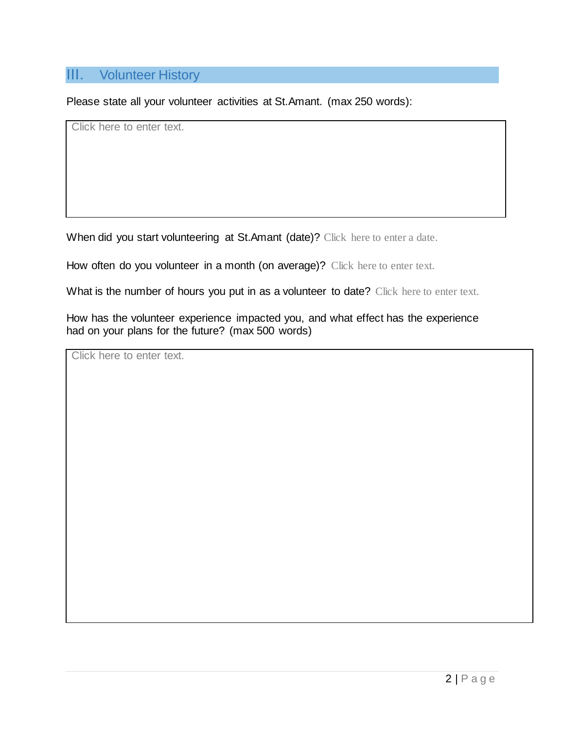### III. Volunteer History

Please state all your volunteer activities at St.Amant. (max 250 words):

Click here to enter text.

When did you start volunteering at St.Amant (date)? Click here to enter a date.

How often do you volunteer in a month (on average)? Click here to enter text.

What is the number of hours you put in as a volunteer to date? Click here to enter text.

How has the volunteer experience impacted you, and what effect has the experience had on your plans for the future? (max 500 words)

Click here to enter text.